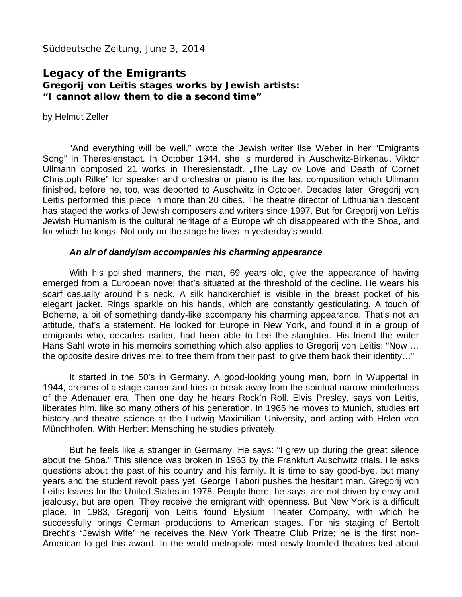## **Legacy of the Emigrants Gregorij von Leïtis stages works by Jewish artists: "I cannot allow them to die a second time"**

by Helmut Zeller

"And everything will be well," wrote the Jewish writer Ilse Weber in her "Emigrants Song" in Theresienstadt. In October 1944, she is murdered in Auschwitz-Birkenau. Viktor Ullmann composed 21 works in Theresienstadt. "The Lay ov Love and Death of Cornet Christoph Rilke" for speaker and orchestra or piano is the last composition which Ullmann finished, before he, too, was deported to Auschwitz in October. Decades later, Gregorij von Leïtis performed this piece in more than 20 cities. The theatre director of Lithuanian descent has staged the works of Jewish composers and writers since 1997. But for Gregorij von Leïtis Jewish Humanism is the cultural heritage of a Europe which disappeared with the Shoa, and for which he longs. Not only on the stage he lives in yesterday's world.

## *An air of dandyism accompanies his charming appearance*

With his polished manners, the man, 69 years old, give the appearance of having emerged from a European novel that's situated at the threshold of the decline. He wears his scarf casually around his neck. A silk handkerchief is visible in the breast pocket of his elegant jacket. Rings sparkle on his hands, which are constantly gesticulating. A touch of Boheme, a bit of something dandy-like accompany his charming appearance. That's not an attitude, that's a statement. He looked for Europe in New York, and found it in a group of emigrants who, decades earlier, had been able to flee the slaughter. His friend the writer Hans Sahl wrote in his memoirs something which also applies to Gregorij von Leïtis: "Now … the opposite desire drives me: to free them from their past, to give them back their identity…"

It started in the 50's in Germany. A good-looking young man, born in Wuppertal in 1944, dreams of a stage career and tries to break away from the spiritual narrow-mindedness of the Adenauer era. Then one day he hears Rock'n Roll. Elvis Presley, says von Leïtis, liberates him, like so many others of his generation. In 1965 he moves to Munich, studies art history and theatre science at the Ludwig Maximilian University, and acting with Helen von Münchhofen. With Herbert Mensching he studies privately.

But he feels like a stranger in Germany. He says: "I grew up during the great silence about the Shoa." This silence was broken in 1963 by the Frankfurt Auschwitz trials. He asks questions about the past of his country and his family. It is time to say good-bye, but many years and the student revolt pass yet. George Tabori pushes the hesitant man. Gregorij von Leïtis leaves for the United States in 1978. People there, he says, are not driven by envy and jealousy, but are open. They receive the emigrant with openness. But New York is a difficult place. In 1983, Gregorij von Leïtis found Elysium Theater Company, with which he successfully brings German productions to American stages. For his staging of Bertolt Brecht's "Jewish Wife" he receives the New York Theatre Club Prize; he is the first non-American to get this award. In the world metropolis most newly-founded theatres last about